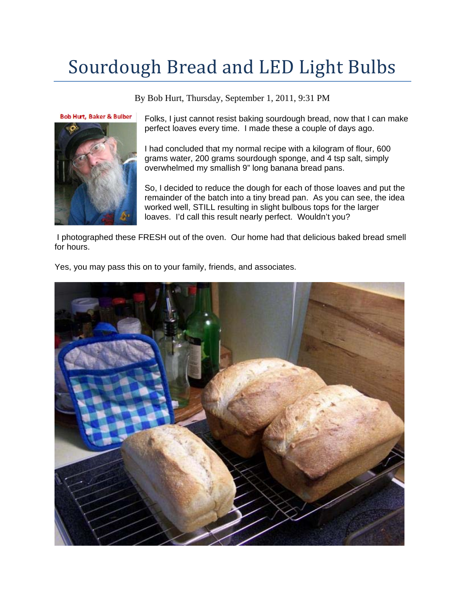## Sourdough Bread and LED Light Bulbs

By Bob Hurt, Thursday, September 1, 2011, 9:31 PM



Folks, I just cannot resist baking sourdough bread, now that I can make perfect loaves every time. I made these a couple of days ago.

I had concluded that my normal recipe with a kilogram of flour, 600 grams water, 200 grams sourdough sponge, and 4 tsp salt, simply overwhelmed my smallish 9" long banana bread pans.

So, I decided to reduce the dough for each of those loaves and put the remainder of the batch into a tiny bread pan. As you can see, the idea worked well, STILL resulting in slight bulbous tops for the larger loaves. I'd call this result nearly perfect. Wouldn't you?

 I photographed these FRESH out of the oven. Our home had that delicious baked bread smell for hours.

Yes, you may pass this on to your family, friends, and associates.

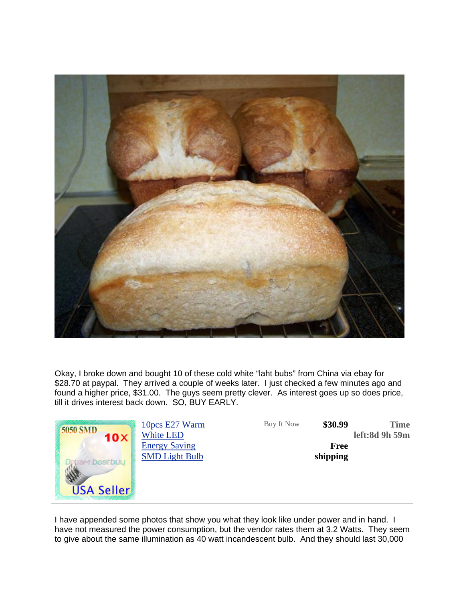

Okay, I broke down and bought 10 of these cold white "laht bubs" from China via ebay for \$28.70 at paypal. They arrived a couple of weeks later. I just checked a few minutes ago and found a higher price, \$31.00. The guys seem pretty clever. As interest goes up so does price, till it drives interest back down. SO, BUY EARLY.



I have appended some photos that show you what they look like under power and in hand. I have not measured the power consumption, but the vendor rates them at 3.2 Watts. They seem to give about the same illumination as 40 watt incandescent bulb. And they should last 30,000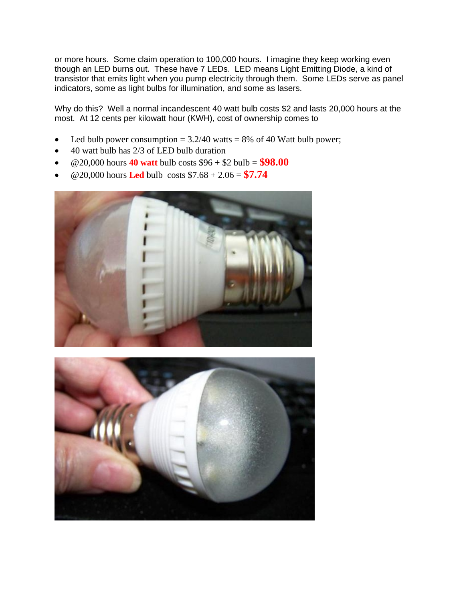or more hours. Some claim operation to 100,000 hours. I imagine they keep working even though an LED burns out. These have 7 LEDs. LED means Light Emitting Diode, a kind of transistor that emits light when you pump electricity through them. Some LEDs serve as panel indicators, some as light bulbs for illumination, and some as lasers.

Why do this? Well a normal incandescent 40 watt bulb costs \$2 and lasts 20,000 hours at the most. At 12 cents per kilowatt hour (KWH), cost of ownership comes to

- Led bulb power consumption  $= 3.2/40$  watts  $= 8\%$  of 40 Watt bulb power;
- 40 watt bulb has 2/3 of LED bulb duration
- @20,000 hours **40 watt** bulb costs \$96 + \$2 bulb = **\$98.00**
- @20,000 hours **Led** bulb costs \$7.68 + 2.06 = **\$7.74**



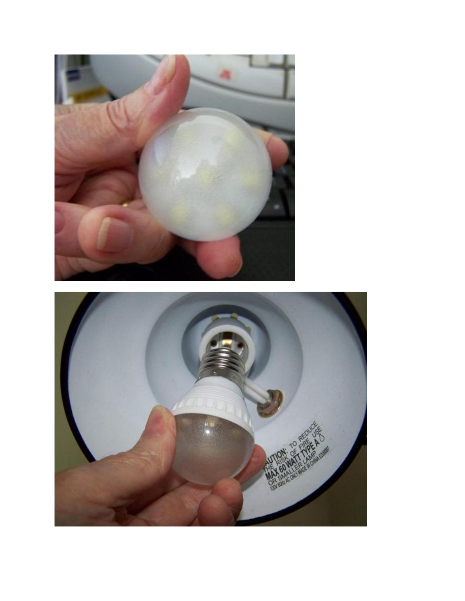

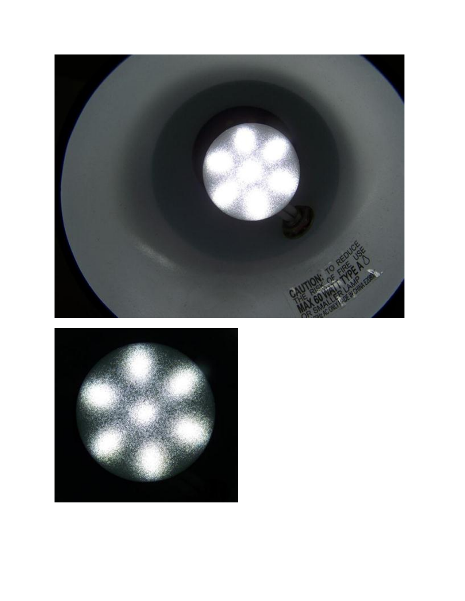